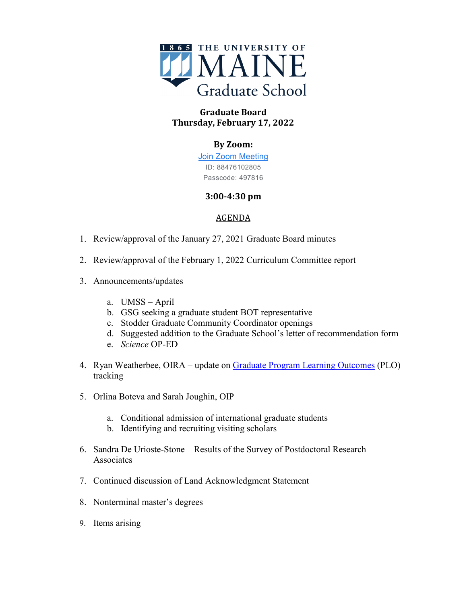

# **Graduate Board Thursday, February 17, 2022**

## **By Zoom:**

[Join Zoom Meeting](https://www.google.com/url?q=https://maine.zoom.us/j/88476102805?pwd%3DRCs1V24rV3pMN0FRWWN6RUt5bG0zUT09&sa=D&source=calendar&ust=1645385005051524&usg=AOvVaw2U8ftq5VxFqr1WWgBygY4C) ID: 88476102805 Passcode: 497816

## **3:00-4:30 pm**

## AGENDA

- 1. Review/approval of the January 27, 2021 Graduate Board minutes
- 2. Review/approval of the February 1, 2022 Curriculum Committee report
- 3. Announcements/updates
	- a. UMSS April
	- b. GSG seeking a graduate student BOT representative
	- c. Stodder Graduate Community Coordinator openings
	- d. Suggested addition to the Graduate School's letter of recommendation form
	- e. *Science* OP-ED
- 4. Ryan Weatherbee, OIRA update on [Graduate Program Learning Outcomes](https://docs.google.com/spreadsheets/d/1-hSfQyEeyR3jHov5ODqJbJkWel6vSbL9TWn0IojVxpc/edit?usp=sharing) (PLO) tracking
- 5. Orlina Boteva and Sarah Joughin, OIP
	- a. Conditional admission of international graduate students
	- b. Identifying and recruiting visiting scholars
- 6. Sandra De Urioste-Stone Results of the Survey of Postdoctoral Research Associates
- 7. Continued discussion of Land Acknowledgment Statement
- 8. Nonterminal master's degrees
- 9. Items arising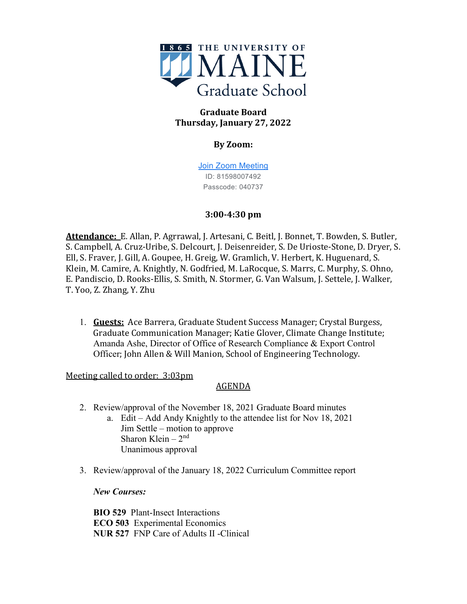

# **Graduate Board Thursday, January 27, 2022**

## **By Zoom:**

[Join Zoom Meeting](https://www.google.com/url?q=https://maine.zoom.us/j/81598007492?pwd%3Db21KQjE5aUZRRVZsaURFb1hUMGZodz09&sa=D&source=calendar&ust=1643554555397502&usg=AOvVaw15Lb061ik0Lt9OR5aOqzOw) ID: 81598007492 Passcode: 040737

## **3:00-4:30 pm**

**Attendance:** E. Allan, P. Agrrawal, J. Artesani, C. Beitl, J. Bonnet, T. Bowden, S. Butler, S. Campbell, A. Cruz-Uribe, S. Delcourt, J. Deisenreider, S. De Urioste-Stone, D. Dryer, S. Ell, S. Fraver, J. Gill, A. Goupee, H. Greig, W. Gramlich, V. Herbert, K. Huguenard, S. Klein, M. Camire, A. Knightly, N. Godfried, M. LaRocque, S. Marrs, C. Murphy, S. Ohno, E. Pandiscio, D. Rooks-Ellis, S. Smith, N. Stormer, G. Van Walsum, J. Settele, J. Walker, T. Yoo, Z. Zhang, Y. Zhu

1. **Guests:** Ace Barrera, Graduate Student Success Manager; Crystal Burgess, Graduate Communication Manager; Katie Glover, Climate Change Institute; Amanda Ashe, Director of Office of Research Compliance & Export Control Officer; John Allen & Will Manion, School of Engineering Technology.

Meeting called to order: 3:03pm

# AGENDA

- 2. Review/approval of the November 18, 2021 Graduate Board minutes
	- a. Edit Add Andy Knightly to the attendee list for Nov 18, 2021 Jim Settle – motion to approve Sharon Klein  $-2<sup>nd</sup>$ Unanimous approval
- 3. Review/approval of the January 18, 2022 Curriculum Committee report

## *New Courses:*

**BIO 529** Plant-Insect Interactions **ECO 503** Experimental Economics **NUR 527** FNP Care of Adults II -Clinical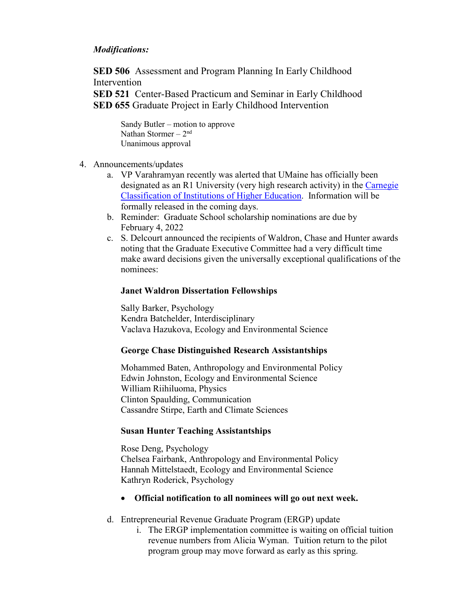## *Modifications:*

**SED 506** Assessment and Program Planning In Early Childhood **Intervention** 

**SED 521** Center-Based Practicum and Seminar in Early Childhood **SED 655** Graduate Project in Early Childhood Intervention

Sandy Butler – motion to approve Nathan Stormer –  $2<sup>nd</sup>$ Unanimous approval

- 4. Announcements/updates
	- a. VP Varahramyan recently was alerted that UMaine has officially been designated as an R1 University (very high research activity) in the [Carnegie](https://carnegieclassifications.iu.edu/lookup/view_institution.php?unit_id=161253&start_page=lookup.php&clq=%7B%22ipug2005_ids%22%3A%22%22%2C%22ipgrad2005_ids%22%3A%22%22%2C%22enrprofile2005_ids%22%3A%22%22%2C%22ugprfile2005_ids%22%3A%22%22%2C%22sizeset2005_ids%22%3A%22%22%2C%22basic2005_ids%22%3A%22%22%2C%22eng2005_ids%22%3A%22%22%2C%22search_string%22%3A%22university+of+maine%22%2C%22level%22%3A%22%22%2C%22control%22%3A%22%22%2C%22accred%22%3A%22%22%2C%22state%22%3A%22%22%2C%22region%22%3A%22%22%2C%22urbanicity%22%3A%22%22%2C%22womens%22%3A%22%22%2C%22hbcu%22%3A%22%22%2C%22hsi%22%3A%22%22%2C%22tribal%22%3A%22%22%2C%22msi%22%3A%22%22%2C%22landgrant%22%3A%22%22%2C%22coplac%22%3A%22%22%2C%22urban%22%3A%22%22%2C%22community%22%3A%22%22%7D)  [Classification of Institutions of Higher Education.](https://carnegieclassifications.iu.edu/lookup/view_institution.php?unit_id=161253&start_page=lookup.php&clq=%7B%22ipug2005_ids%22%3A%22%22%2C%22ipgrad2005_ids%22%3A%22%22%2C%22enrprofile2005_ids%22%3A%22%22%2C%22ugprfile2005_ids%22%3A%22%22%2C%22sizeset2005_ids%22%3A%22%22%2C%22basic2005_ids%22%3A%22%22%2C%22eng2005_ids%22%3A%22%22%2C%22search_string%22%3A%22university+of+maine%22%2C%22level%22%3A%22%22%2C%22control%22%3A%22%22%2C%22accred%22%3A%22%22%2C%22state%22%3A%22%22%2C%22region%22%3A%22%22%2C%22urbanicity%22%3A%22%22%2C%22womens%22%3A%22%22%2C%22hbcu%22%3A%22%22%2C%22hsi%22%3A%22%22%2C%22tribal%22%3A%22%22%2C%22msi%22%3A%22%22%2C%22landgrant%22%3A%22%22%2C%22coplac%22%3A%22%22%2C%22urban%22%3A%22%22%2C%22community%22%3A%22%22%7D) Information will be formally released in the coming days.
	- b. Reminder: Graduate School scholarship nominations are due by February 4, 2022
	- c. S. Delcourt announced the recipients of Waldron, Chase and Hunter awards noting that the Graduate Executive Committee had a very difficult time make award decisions given the universally exceptional qualifications of the nominees:

#### **Janet Waldron Dissertation Fellowships**

Sally Barker, Psychology Kendra Batchelder, Interdisciplinary Vaclava Hazukova, Ecology and Environmental Science

#### **George Chase Distinguished Research Assistantships**

Mohammed Baten, Anthropology and Environmental Policy Edwin Johnston, Ecology and Environmental Science William Riihiluoma, Physics Clinton Spaulding, Communication Cassandre Stirpe, Earth and Climate Sciences

#### **Susan Hunter Teaching Assistantships**

Rose Deng, Psychology Chelsea Fairbank, Anthropology and Environmental Policy Hannah Mittelstaedt, Ecology and Environmental Science Kathryn Roderick, Psychology

- **Official notification to all nominees will go out next week.**
- d. Entrepreneurial Revenue Graduate Program (ERGP) update
	- i. The ERGP implementation committee is waiting on official tuition revenue numbers from Alicia Wyman. Tuition return to the pilot program group may move forward as early as this spring.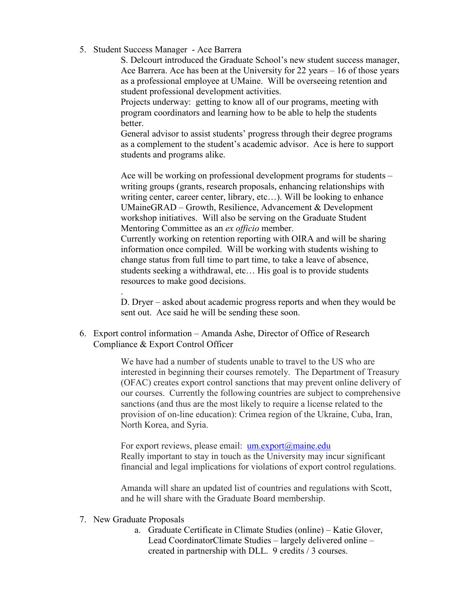5. Student Success Manager - Ace Barrera

S. Delcourt introduced the Graduate School's new student success manager, Ace Barrera. Ace has been at the University for 22 years – 16 of those years as a professional employee at UMaine. Will be overseeing retention and student professional development activities.

Projects underway: getting to know all of our programs, meeting with program coordinators and learning how to be able to help the students better.

General advisor to assist students' progress through their degree programs as a complement to the student's academic advisor. Ace is here to support students and programs alike.

Ace will be working on professional development programs for students – writing groups (grants, research proposals, enhancing relationships with writing center, career center, library, etc…). Will be looking to enhance UMaineGRAD – Growth, Resilience, Advancement & Development workshop initiatives. Will also be serving on the Graduate Student Mentoring Committee as an *ex officio* member.

Currently working on retention reporting with OIRA and will be sharing information once compiled. Will be working with students wishing to change status from full time to part time, to take a leave of absence, students seeking a withdrawal, etc… His goal is to provide students resources to make good decisions.

. D. Dryer – asked about academic progress reports and when they would be sent out. Ace said he will be sending these soon.

6. Export control information – Amanda Ashe, Director of Office of Research Compliance & Export Control Officer

> We have had a number of students unable to travel to the US who are interested in beginning their courses remotely. The Department of Treasury (OFAC) creates export control sanctions that may prevent online delivery of our courses. Currently the following countries are subject to comprehensive sanctions (and thus are the most likely to require a license related to the provision of on-line education): Crimea region of the Ukraine, Cuba, Iran, North Korea, and Syria.

For export reviews, please email:  $um.export@maine.edu$ Really important to stay in touch as the University may incur significant financial and legal implications for violations of export control regulations.

Amanda will share an updated list of countries and regulations with Scott, and he will share with the Graduate Board membership.

- 7. New Graduate Proposals
	- a. Graduate Certificate in Climate Studies (online) Katie Glover, Lead CoordinatorClimate Studies – largely delivered online – created in partnership with DLL. 9 credits / 3 courses.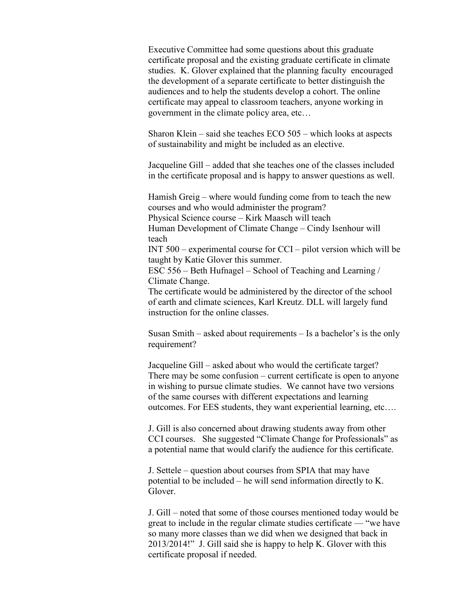Executive Committee had some questions about this graduate certificate proposal and the existing graduate certificate in climate studies. K. Glover explained that the planning faculty encouraged the development of a separate certificate to better distinguish the audiences and to help the students develop a cohort. The online certificate may appeal to classroom teachers, anyone working in government in the climate policy area, etc…

Sharon Klein – said she teaches ECO 505 – which looks at aspects of sustainability and might be included as an elective.

Jacqueline Gill – added that she teaches one of the classes included in the certificate proposal and is happy to answer questions as well.

Hamish Greig – where would funding come from to teach the new courses and who would administer the program? Physical Science course – Kirk Maasch will teach Human Development of Climate Change – Cindy Isenhour will teach INT 500 – experimental course for CCI – pilot version which will be taught by Katie Glover this summer. ESC 556 – Beth Hufnagel – School of Teaching and Learning / Climate Change. The certificate would be administered by the director of the school of earth and climate sciences, Karl Kreutz. DLL will largely fund instruction for the online classes.

Susan Smith – asked about requirements – Is a bachelor's is the only requirement?

Jacqueline Gill – asked about who would the certificate target? There may be some confusion – current certificate is open to anyone in wishing to pursue climate studies. We cannot have two versions of the same courses with different expectations and learning outcomes. For EES students, they want experiential learning, etc….

J. Gill is also concerned about drawing students away from other CCI courses. She suggested "Climate Change for Professionals" as a potential name that would clarify the audience for this certificate.

J. Settele – question about courses from SPIA that may have potential to be included – he will send information directly to K. Glover.

J. Gill – noted that some of those courses mentioned today would be great to include in the regular climate studies certificate — "we have so many more classes than we did when we designed that back in 2013/2014!" J. Gill said she is happy to help K. Glover with this certificate proposal if needed.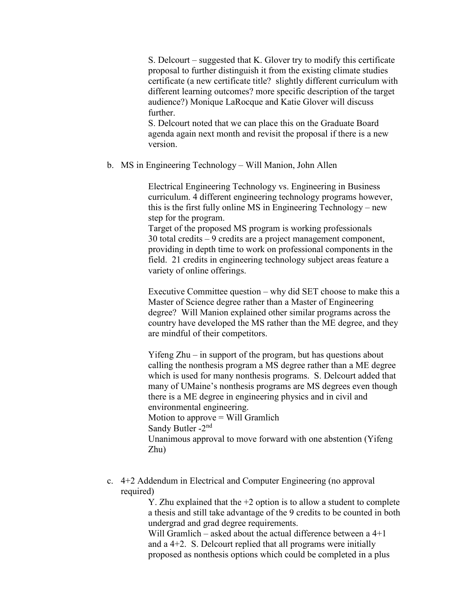S. Delcourt – suggested that K. Glover try to modify this certificate proposal to further distinguish it from the existing climate studies certificate (a new certificate title? slightly different curriculum with different learning outcomes? more specific description of the target audience?) Monique LaRocque and Katie Glover will discuss further.

S. Delcourt noted that we can place this on the Graduate Board agenda again next month and revisit the proposal if there is a new version.

b. MS in Engineering Technology – Will Manion, John Allen

Electrical Engineering Technology vs. Engineering in Business curriculum. 4 different engineering technology programs however, this is the first fully online MS in Engineering Technology – new step for the program.

Target of the proposed MS program is working professionals 30 total credits – 9 credits are a project management component, providing in depth time to work on professional components in the field. 21 credits in engineering technology subject areas feature a variety of online offerings.

Executive Committee question – why did SET choose to make this a Master of Science degree rather than a Master of Engineering degree? Will Manion explained other similar programs across the country have developed the MS rather than the ME degree, and they are mindful of their competitors.

Yifeng Zhu – in support of the program, but has questions about calling the nonthesis program a MS degree rather than a ME degree which is used for many nonthesis programs. S. Delcourt added that many of UMaine's nonthesis programs are MS degrees even though there is a ME degree in engineering physics and in civil and environmental engineering. Motion to approve  $=$  Will Gramlich Sandy Butler -2nd Unanimous approval to move forward with one abstention (Yifeng Zhu)

c. 4+2 Addendum in Electrical and Computer Engineering (no approval required)

Y. Zhu explained that the +2 option is to allow a student to complete a thesis and still take advantage of the 9 credits to be counted in both undergrad and grad degree requirements.

Will Gramlich – asked about the actual difference between a 4+1 and a 4+2. S. Delcourt replied that all programs were initially proposed as nonthesis options which could be completed in a plus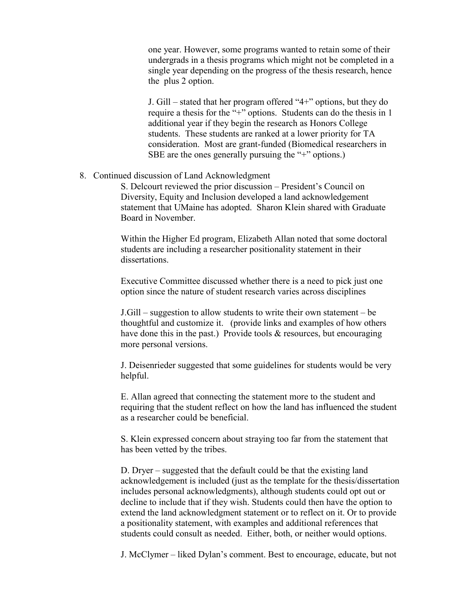one year. However, some programs wanted to retain some of their undergrads in a thesis programs which might not be completed in a single year depending on the progress of the thesis research, hence the plus 2 option.

J. Gill – stated that her program offered "4+" options, but they do require a thesis for the "+" options. Students can do the thesis in 1 additional year if they begin the research as Honors College students. These students are ranked at a lower priority for TA consideration. Most are grant-funded (Biomedical researchers in SBE are the ones generally pursuing the "+" options.)

#### 8. Continued discussion of Land Acknowledgment

S. Delcourt reviewed the prior discussion – President's Council on Diversity, Equity and Inclusion developed a land acknowledgement statement that UMaine has adopted. Sharon Klein shared with Graduate Board in November.

Within the Higher Ed program, Elizabeth Allan noted that some doctoral students are including a researcher positionality statement in their dissertations.

Executive Committee discussed whether there is a need to pick just one option since the nature of student research varies across disciplines

J.Gill – suggestion to allow students to write their own statement – be thoughtful and customize it. (provide links and examples of how others have done this in the past.) Provide tools & resources, but encouraging more personal versions.

J. Deisenrieder suggested that some guidelines for students would be very helpful.

E. Allan agreed that connecting the statement more to the student and requiring that the student reflect on how the land has influenced the student as a researcher could be beneficial.

S. Klein expressed concern about straying too far from the statement that has been vetted by the tribes.

D. Dryer – suggested that the default could be that the existing land acknowledgement is included (just as the template for the thesis/dissertation includes personal acknowledgments), although students could opt out or decline to include that if they wish. Students could then have the option to extend the land acknowledgment statement or to reflect on it. Or to provide a positionality statement, with examples and additional references that students could consult as needed. Either, both, or neither would options.

J. McClymer – liked Dylan's comment. Best to encourage, educate, but not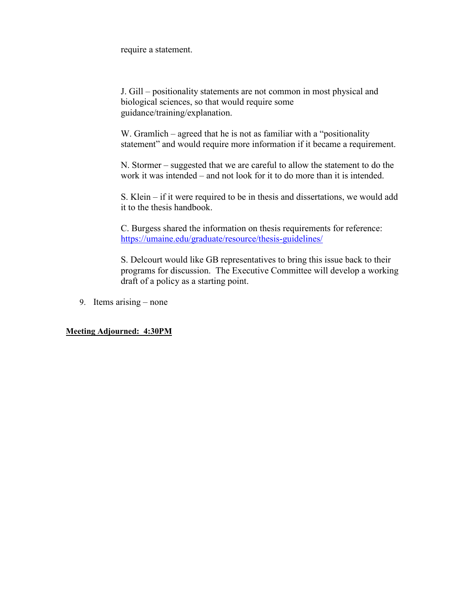require a statement.

J. Gill – positionality statements are not common in most physical and biological sciences, so that would require some guidance/training/explanation.

W. Gramlich – agreed that he is not as familiar with a "positionality statement" and would require more information if it became a requirement.

N. Stormer – suggested that we are careful to allow the statement to do the work it was intended – and not look for it to do more than it is intended.

S. Klein – if it were required to be in thesis and dissertations, we would add it to the thesis handbook.

C. Burgess shared the information on thesis requirements for reference: <https://umaine.edu/graduate/resource/thesis-guidelines/>

S. Delcourt would like GB representatives to bring this issue back to their programs for discussion. The Executive Committee will develop a working draft of a policy as a starting point.

9. Items arising – none

**Meeting Adjourned: 4:30PM**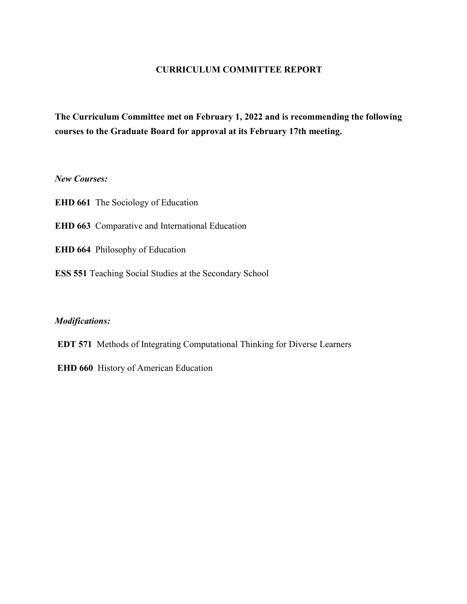### **CURRICULUM COMMITTEE REPORT**

**The Curriculum Committee met on February 1, 2022 and is recommending the following courses to the Graduate Board for approval at its February 17th meeting.**

#### *New Courses:*

**EHD 661** The Sociology of Education

- **EHD 663** Comparative and International Education
- **EHD 664** Philosophy of Education
- **ESS 551** Teaching Social Studies at the Secondary School

#### *Modifications:*

- **EDT 571** Methods of Integrating Computational Thinking for Diverse Learners
- **EHD 660** History of American Education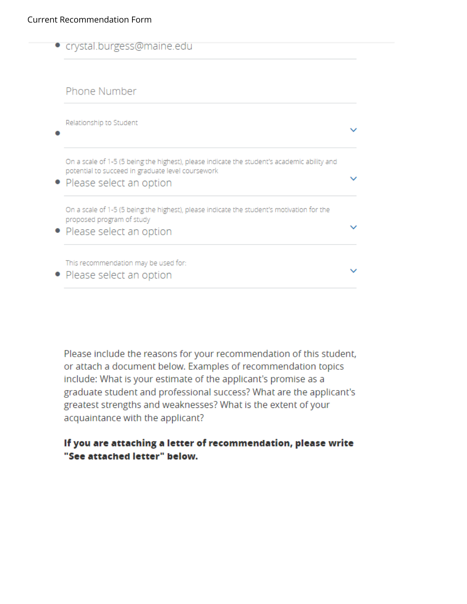| crystal.burgess@maine.edu                                                                                                                                                   |  |
|-----------------------------------------------------------------------------------------------------------------------------------------------------------------------------|--|
| Phone Number                                                                                                                                                                |  |
| Relationship to Student                                                                                                                                                     |  |
| On a scale of 1-5 (5 being the highest), please indicate the student's academic ability and<br>potential to succeed in graduate level coursework<br>Please select an option |  |
| On a scale of 1-5 (5 being the highest), please indicate the student's motivation for the<br>proposed program of study<br>Please select an option                           |  |
| This recommendation may be used for:<br>• Please select an option                                                                                                           |  |

Please include the reasons for your recommendation of this student, or attach a document below. Examples of recommendation topics include: What is your estimate of the applicant's promise as a graduate student and professional success? What are the applicant's greatest strengths and weaknesses? What is the extent of your acquaintance with the applicant?

# If you are attaching a letter of recommendation, please write "See attached letter" below.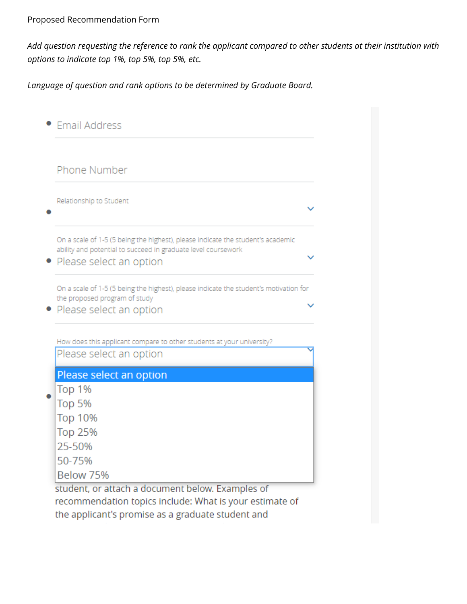# Proposed Recommendation Form

Add question requesting the reference to rank the applicant compared to other students at their institution with *options to indicate top 1%, top 5%, top 5%, etc.*

*Language of question and rank options to be determined by Graduate Board.*

| Phone Number                                                                                                                                                                |  |
|-----------------------------------------------------------------------------------------------------------------------------------------------------------------------------|--|
| Relationship to Student                                                                                                                                                     |  |
| On a scale of 1-5 (5 being the highest), please indicate the student's academic<br>ability and potential to succeed in graduate level coursework<br>Please select an option |  |
|                                                                                                                                                                             |  |
| On a scale of 1-5 (5 being the highest), please indicate the student's motivation for                                                                                       |  |
|                                                                                                                                                                             |  |
| the proposed program of study<br>Please select an option                                                                                                                    |  |
|                                                                                                                                                                             |  |
| How does this applicant compare to other students at your university?<br>Please select an option                                                                            |  |
| Please select an option                                                                                                                                                     |  |
| Top 1%                                                                                                                                                                      |  |
| Top 5%                                                                                                                                                                      |  |
| <b>Top 10%</b>                                                                                                                                                              |  |
| <b>Top 25%</b>                                                                                                                                                              |  |
| 25-50%                                                                                                                                                                      |  |
| 50-75%<br>Below 75%                                                                                                                                                         |  |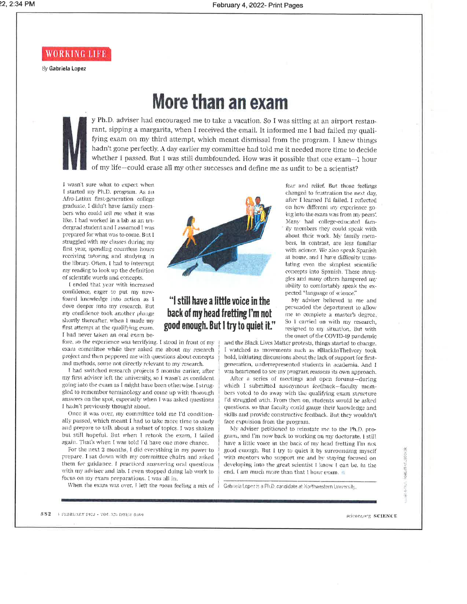WORKING LIFE

By Gabriela Lopez

# More than an exam

y Ph.D. adviser had encouraged me to take a vacation. So I was sitting at an airport restaurant, sipping a margarita, when I received the email. It informed me I had failed my qualifying exam on my third attempt, which meant dismissal from the program. I knew things hadn't gone perfectly. A day earlier my committee had told me it needed more time to decide whether I passed. But I was still dumbfounded. How was it possible that one exam--1 hour of my life-could erase all my other successes and define me as unfit to be a scientist?

I wasn't sure what to expect when I started my Ph.D. program. As an Afro-Latinx first-generation college graduate, I didn't have family members who could tell me what it was like. I had worked in a lab as an undergrad student and I assumed I was prepared for what was to come. But I struggled with my classes during my first year, spending countless hours receiving tutoring and studying in the library. Often, I had to interrupt my reading to look up the definition of scientific words and concepts.

I ended that year with increased confidence, eager to put my newfound knowledge into action as I dove deeper into my research. But my confidence took another plunge shortly thereafter, when 1 made mv first attempt at the qualifying exam. I had never taken an oral exam be-

fore, so the experience was terrifying. I stood in front of my exam committee while they asked me about my research project and then peppered me with questions about concepts and methods, some not directly relevant to my research.

I had switched research projects 5 months earlier, after my first adviser left the university, so I wasn't as confident going into the exam as I might have been otherwise. I struggled to remember terminology and come up with thorough answers on the spot, especially when I was asked questions I hadn't previously thought about.

Once it was over, my committee told me I'd conditionally passed, which meant I had to take more time to study and prepare to talk about a subset of topics. I was shaken but still hopeful. But when I retook the exam, I failed again. That's when I was told I'd have one more chance.

For the next 2 months, I did everything in my power to prepare. I sat down with my committee chairs and asked them for guidance. I practiced answering oral questions with my adviser and lab. I even stopped doing lab work to focus on my exam preparations. I was all in.

When the exam was over, I left the room feeling a mix of



# "I still have a little voice in the back of my head fretting I'm not good enough. But I try to quiet it."

changed to frustration the next day, after I learned I'd failed. I reflected on how different my experience going into the exam was from my peers'. Many had college-educated family members they could speak with about their work. My family members, in contrast, are less familiar with science. We also speak Spanish at home, and I have difficulty translating even the simplest scientific concepts into Spanish. These struggles and many others hampered my ability to comfortably speak the expected "language of science."

fear and relief. But those feelings

My adviser believed in me and persuaded the department to allow me to complete a master's degree, So I carried on with my research, resigned to my situation. But with the onset of the COVID-19 pandemic

and the Black Lives Matter protests, things started to change. I watched as movements such as #BlackInTheIvory took hold, initiating discussions about the lack of support for firstgeneration, underrepresented students in academia. And 1 was heartened to see my program reassess its own approach.

After a series of meetings and open forums-during which I submitted anonymous feedback-faculty members voted to do away with the qualifying exam structure I'd struggled with. From then on, students would be asked questions, so that faculty could gauge their knowledge and skills and provide constructive feedback. But they wouldn't face expulsion from the program.

My adviser petitioned to reinstate me to the Ph.D. program, and I'm now back to working on my doctorate. I still have a little voice in the back of my head fretting I'm not good enough. But I try to quiet it by surrounding myself with mentors who support me and by staying focused on developing into the great scientist I know I can be. In the end. I am much more than that I hour exam.

Gabriela Lopez is a Ph.D. candidate at Northwestern University.

582 | FEBRUARY 2022 · VOL 375 ISS1 E 6589

science.org SCIENCE

cost of no assist

anya.